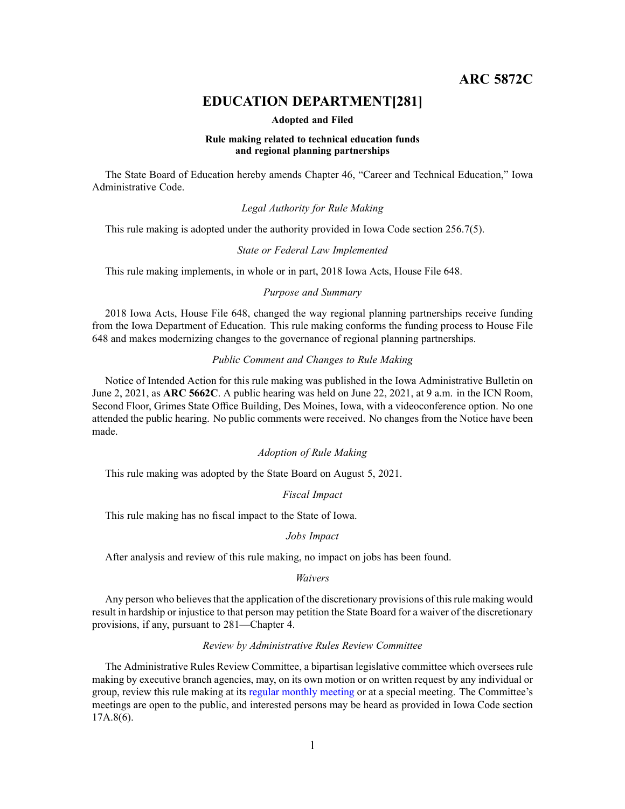**ARC 5872C**

# **EDUCATION DEPARTMENT[281]**

#### **Adopted and Filed**

#### **Rule making related to technical education funds and regional planning partnerships**

The State Board of Education hereby amends Chapter 46, "Career and Technical Education," Iowa Administrative Code.

### *Legal Authority for Rule Making*

This rule making is adopted under the authority provided in Iowa Code section 256.7(5).

#### *State or Federal Law Implemented*

This rule making implements, in whole or in part, 2018 Iowa Acts, House File 648.

### *Purpose and Summary*

2018 Iowa Acts, House File 648, changed the way regional planning partnerships receive funding from the Iowa Department of Education. This rule making conforms the funding process to House File 648 and makes modernizing changes to the governance of regional planning partnerships.

# *Public Comment and Changes to Rule Making*

Notice of Intended Action for this rule making was published in the Iowa Administrative Bulletin on June 2, 2021, as ARC 5662C. A public hearing was held on June 22, 2021, at 9 a.m. in the ICN Room, Second Floor, Grimes State Office Building, Des Moines, Iowa, with <sup>a</sup> videoconference option. No one attended the public hearing. No public comments were received. No changes from the Notice have been made.

#### *Adoption of Rule Making*

This rule making was adopted by the State Board on August 5, 2021.

# *Fiscal Impact*

This rule making has no fiscal impact to the State of Iowa.

#### *Jobs Impact*

After analysis and review of this rule making, no impact on jobs has been found.

#### *Waivers*

Any person who believes that the application of the discretionary provisions of this rule making would result in hardship or injustice to that person may petition the State Board for <sup>a</sup> waiver of the discretionary provisions, if any, pursuan<sup>t</sup> to 281—Chapter 4.

### *Review by Administrative Rules Review Committee*

The Administrative Rules Review Committee, <sup>a</sup> bipartisan legislative committee which oversees rule making by executive branch agencies, may, on its own motion or on written reques<sup>t</sup> by any individual or group, review this rule making at its regular [monthly](https://www.legis.iowa.gov/committees/meetings/meetingsListComm?groupID=705&ga=89) meeting or at <sup>a</sup> special meeting. The Committee's meetings are open to the public, and interested persons may be heard as provided in Iowa Code section 17A.8(6).